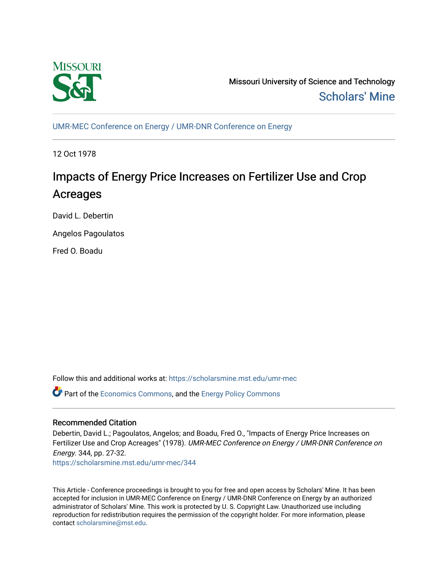

Missouri University of Science and Technology [Scholars' Mine](https://scholarsmine.mst.edu/) 

[UMR-MEC Conference on Energy / UMR-DNR Conference on Energy](https://scholarsmine.mst.edu/umr-mec)

12 Oct 1978

# Impacts of Energy Price Increases on Fertilizer Use and Crop Acreages

David L. Debertin

Angelos Pagoulatos

Fred O. Boadu

Follow this and additional works at: [https://scholarsmine.mst.edu/umr-mec](https://scholarsmine.mst.edu/umr-mec?utm_source=scholarsmine.mst.edu%2Fumr-mec%2F344&utm_medium=PDF&utm_campaign=PDFCoverPages) 

Part of the [Economics Commons](http://network.bepress.com/hgg/discipline/340?utm_source=scholarsmine.mst.edu%2Fumr-mec%2F344&utm_medium=PDF&utm_campaign=PDFCoverPages), and the [Energy Policy Commons](http://network.bepress.com/hgg/discipline/1065?utm_source=scholarsmine.mst.edu%2Fumr-mec%2F344&utm_medium=PDF&utm_campaign=PDFCoverPages)

## Recommended Citation

Debertin, David L.; Pagoulatos, Angelos; and Boadu, Fred O., "Impacts of Energy Price Increases on Fertilizer Use and Crop Acreages" (1978). UMR-MEC Conference on Energy / UMR-DNR Conference on Energy. 344, pp. 27-32.

[https://scholarsmine.mst.edu/umr-mec/344](https://scholarsmine.mst.edu/umr-mec/344?utm_source=scholarsmine.mst.edu%2Fumr-mec%2F344&utm_medium=PDF&utm_campaign=PDFCoverPages) 

This Article - Conference proceedings is brought to you for free and open access by Scholars' Mine. It has been accepted for inclusion in UMR-MEC Conference on Energy / UMR-DNR Conference on Energy by an authorized administrator of Scholars' Mine. This work is protected by U. S. Copyright Law. Unauthorized use including reproduction for redistribution requires the permission of the copyright holder. For more information, please contact [scholarsmine@mst.edu](mailto:scholarsmine@mst.edu).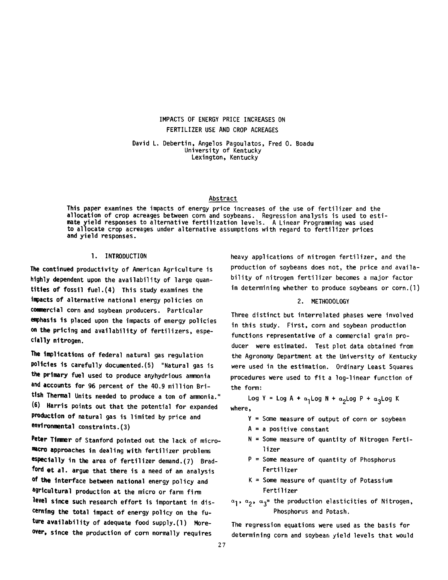## IMPACTS OF ENERGY PRICE INCREASES ON FERTILIZER USE AND CROP ACREAGES

David L. Debertin, Angelos Pagoulatos, Fred 0. Boadu University of Kentucky Lexington, Kentucky

## Abstract

This paper examines the impacts of energy price increases of the use of fertilizer and the allocation of crop acreages between corn and soybeans. Regression analysis is used to estimate yield responses to alternative fertilization levels. A Linear Programming was used to allocate crop acreages under alternative assumptions with regard to fertilizer prices and yield responses.

### 1. INTRODUCTION

The continued productivity of American Agriculture is highly dependent upon the availability of large quantities of fossil fuel.(4) This study examines the impacts of alternative national energy policies on commercial corn and soybean producers. Particular emphasis is placed upon the impacts of energy policies on the pricing and availability of fertilizers, especially nitrogen.

The implications of federal natural gas regulation policies is carefully documented.(5) "Natural gas is the primary fuel used to produce anyhydrious ammonia and accounts for 96 percent of the 40.9 million British Thermal Units needed to produce a ton of ammonia." (6) Harris points out that the potential for expanded production of natural gas is limited by price and environmental constraints.(3)

**Peter** Tlmmer of Stanford pointed out the lack of micro macro approaches in dealing with fertilizer problems especially in the area of fertilizer demand.(7) Bradford **et** al. argue that there is a need of an analysis **°f the** Interface between national energy policy and agricultural production at the micro or farm firm level since such research effort is important in discerning the total impact of energy policy on the future availability of adequate food supply.(1) Moreover, since the production of corn normally requires

heavy applications of nitrogen fertilizer, and the production of soybeans does not, the price and availability of nitrogen fertilizer becomes a major factor in determining whether to produce soybeans or corn.(l)

#### 2. METHODOLOGY

Three distinct but interrelated phases were involved in this study. First, corn and soybean production functions representative of a commercial grain producer were estimated. Test plot data obtained from the Agronomy Department at the University of Kentucky were used in the estimation. Ordinary Least Squares procedures were used to fit a log-linear function of the form:

Log Y = Log A +  $\alpha_1$ Log N +  $\alpha_2$ Log P +  $\alpha_3$ Log K where,

- Y = Some measure of output of corn or soybean
- $A = a$  positive constant
- $N =$  Some measure of quantity of Nitrogen Ferti-1 i zer
- $P =$  Some measure of quantity of Phosphorus Fertilizer
- $K =$  Some measure of quantity of Potassium Fertilizer
- <\***1** , (\***2** \* a**3** = the production elasticities of Nitrogen, Phosphorus and Potash.

The regression equations were used as the basis for determining corn and soybean yield levels that would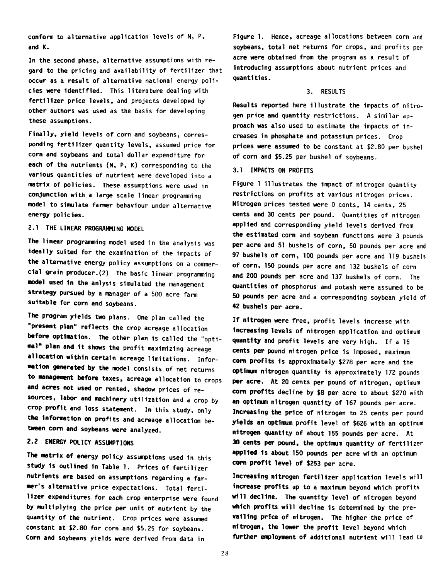conform to alternative application levels of N, P, and K.

In the second phase, alternative assumptions with regard to the pricing and availability of fertilizer that occur as a result of alternative national energy policies were identified. This literature dealing with fertilizer price levels, and projects developed by other authors was used as the basis for developing these assumptions.

Finally, yield levels of corn and soybeans, corresponding fertilizer quantity levels, assumed price for corn and soybeans and total dollar expenditure for each of the nutrients (N, P, K) corresponding to the various quantities of nutrient were developed into a matrix of policies. These assumptions were used in conjunction with a large scale linear programming model to simulate farmer behaviour under alternative energy policies.

## 2.1 THE LINEAR PROGRAMMING MODEL

The linear programming model used in the analysis was ideally suited for the examination of the impacts of the alternative energy policy assumptions on a commercial grain producer.(2) The basic linear programming model used in the anlysis simulated the management strategy pursued by a manager of a 500 acre farm suitable for corn and soybeans.

The program yields two plans. One plan called the "present plan" reflects the crop acreage allocation before optimation. The other plan is called the "optimal" plan and it shows the profit maximizing acreage allocation within certain acreage limitations. Information generated by the model consists of net returns to management before taxes, acreage allocation to crops and acres not used or rented, shadow prices of resources, labor and machinery utilization and a crop by crop profit and loss statement. In this study, only the Information on profits and acreage allocation between corn and soybeans were analyzed.

## **2.2 ENERGY POLICY ASSUMPTIONS**

The matrix of energy policy assumptions used in this study is outlined in Table 1. Prices of fertilizer nutrients are based on assumptions regarding a farmer's alternative price expectations. Total fertilizer expenditures for each crop enterprise were found by multiplying the price per unit of nutrient by the quantity of the nutrient. Crop prices were assumed constant at \$2.80 for corn and \$5.25 for soybeans. Corn and soybeans yields were derived from data in

Figure 1. Hence, acreage allocations between corn and soybeans, total net returns for crops, and profits per acre were obtained from the program as a result of introducing assumptions about nutrient prices and quantities.

#### 3. RESULTS

Results reported here illustrate the impacts of nitrogen price and quantity restrictions. A similar approach was also used to estimate the impacts of increases in phosphate and potassium prices. Crop prices were assumed to be constant at \$2.80 per bushel of corn and \$5.25 per bushel of soybeans.

## 3.1 IMPACTS ON PROFITS

Figure 1 illustrates the impact of nitrogen quantity restrictions on profits at various nitrogen prices. Nitrogen prices tested were 0 cents, 14 cents, 25 cents and 30 cents per pound. Quantities of nitrogen applied and corresponding yield levels derived from the estimated corn and soybean functions were 3 pounds per acre and 51 bushels of corn, 50 pounds per acre and 97 bushels of corn, 100 pounds per acre and 119 bushels of corn, 150 pounds per acre and 132 bushels of corn and 200 pounds per acre and 137 bushels of corn. The quantities of phosphorus and potash were assumed to be 50 pounds per acre and a corresponding soybean yield of 42 bushels per acre.

If nitrogen were free, profit levels increase with increasing levels of nitrogen application and optimum quantity and profit levels are very high. If a 15 cents per pound nitrogen price is imposed, maximum corn profits is approximately \$278 per acre and the optimum nitrogen quantity is approximately 172 pounds per acre. At 20 cents per pound of nitrogen, optimum corn profits decline by \$8 per acre to about \$270 with an optimum nitrogen quantity of 167 pounds per acre. Increasing the price of nitrogen to 25 cents per pound yields an optinum profit level of \$626 with an optimum nitrogen quantity of about 155 pounds per acre. At 30 cents per pound, the optimum quantity of fertilizer applied 1s about 150 pounds per acre with an optimum corn profit level of \$253 per acre.

Increasing nitrogen fertilizer application levels will Increase profits up to a maximum beyond which profits will decline. The quantity level of nitrogen beyond which profits will decline is determined by the prevailing price of nitrogen. The higher the price of nitrogen, the lower the profit level beyond which further employment of additional nutrient will lead to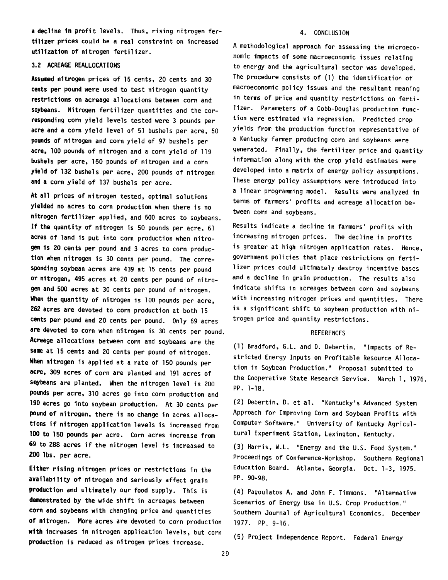a decline in profit levels. Thus, rising nitrogen fertilizer prices could be a real constraint on increased utilization of nitrogen fertilizer.

## 3.2 ACREAGE REALLOCATIONS

Assumed nitrogen prices of 15 cents, 20 cents and 30 cents per pound were used to test nitrogen quantity restrictions on acreage allocations between corn and soybeans. Nitrogen fertilizer quantities and the corresponding corn yield levels tested were 3 pounds per acre and a corn yield level of 51 bushels per acre, 50 pounds of nitrogen and corn yield of 97 bushels per acre, 100 pounds of nitrogen and a corn yield of 119 bushels per acre, 150 pounds of nitrogen and a corn yield of 132 bushels per acre, 200 pounds of nitrogen and a corn yield of 137 bushels per acre.

At all prices of nitrogen tested, optimal solutions yielded no acres to corn production when there is no nitrogen fertilizer applied, and 500 acres to soybeans. If the quantity of nitrogen is 50 pounds per acre, 61 acres of land is put into corn production when nitrogen is 20 cents per pound and 3 acres to corn production when nitrogen is 30 cents per pound. The corresponding soybean acres are 439 at 15 cents per pound or nitrogen, 495 acres at 20 cents per pound of nitrogen and 500 acres at 30 cents per pound of nitrogen. When the quantity of nitrogen is 100 pounds per acre, 262 acres are devoted to corn production at both 15 cents per pound and 20 cents per pound. Only 69 acres are devoted to corn when nitrogen is 30 cents per pound. Acreage allocations between corn and soybeans are the same at 15 cents and 20 cents per pound of nitrogen. When nitrogen is applied at a rate of 150 pounds per acre, 309 acres of corn are planted and 191 acres of soybeans are planted. When the nitrogen level is 200 pounds per acre, 310 acres go into corn production and **190** acres go into soybean production. At 30 cents per pound of nitrogen, there is no change in acres allocations if nitrogen application levels is increased from **100** to **150** pounds per acre. Corn acres increase from 69 to 288 acres if the nitrogen level is increased to 200 lbs. per acre.

Either rising nitrogen prices or restrictions in the availability of nitrogen and seriously affect grain production and ultimately our food supply. This is demonstrated by the wide shift in acreages between corn and soybeans with changing price and quantities of nitrogen. More acres are devoted to corn production with increases in nitrogen application levels, but corn production is reduced as nitrogen prices increase.

#### 4. CONCLUSION

A methodological approach for assessing the microeconomic impacts of some macroeconomic issues relating to energy and the agricultural sector was developed. The procedure consists of (1) the identification of macroeconomic policy issues and the resultant meaning in terms of price and quantity restrictions on fertilizer. Parameters of a Cobb-Douglas production function were estimated via regression. Predicted crop yields from the production function representative of a Kentucky farmer producing corn and soybeans were generated. Finally, the fertilizer price and quantity information along with the crop yield estimates were developed into a matrix of energy policy assumptions. These energy policy assumptions were introduced into a linear programming model. Results were analyzed in terms of farmers' profits and acreage allocation between corn and soybeans.

Results indicate a decline in farmers' profits with increasing nitrogen prices. The decline in profits is greater at high nitrogen application rates. Hence, government policies that place restrictions on fertilizer prices could ultimately destroy incentive bases and a decline in grain production. The results also indicate shifts in acreages between corn and soybeans with increasing nitrogen prices and quantities. There is a significant shift to soybean production with nitrogen price and quantity restrictions.

#### **REFERENCES**

(1) Bradford, G.L. and D. Debertin. "Impacts of Restricted Energy Inputs on Profitable Resource Allocation in Soybean Production." Proposal submitted to the Cooperative State Research Service. March 1, 1976. PP. 1-18.

(2) Debertin, D. et al. "Kentucky's Advanced System Approach for Improving Corn and Soybean Profits with Computer Software." University of Kentucky Agricultural Experiment Station, Lexington, Kentucky.

(3) Harris, W.L. "Energy and the U.S. Food System." Proceedings of Conference-Workshop. Southern Regional Education Board. Atlanta, Georgia. Oct. 1-3, 1975. PP. 90-98.

(4) Pagoulatos A. and John F. Timmons. "Alternative Scenarios of Energy Use in U.S. Crop Production." Southern Journal of Agricultural Economics. December 1977. PP. 9-16.

(5) Project Independence Report. Federal Energy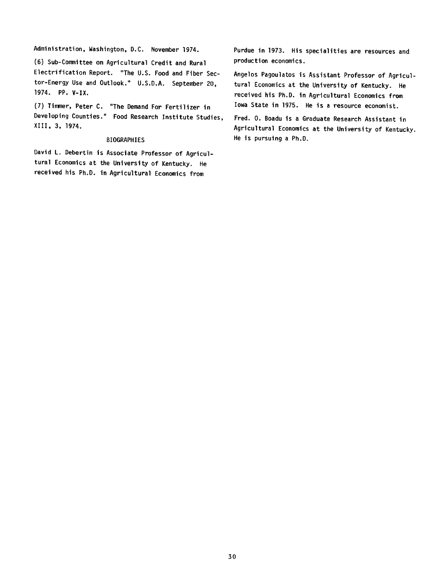Administration, Washington, D.C. November 1974.

(6) Sub-Committee on Agricultural Credit and Rural Electrification Report. "The U.S. Food and Fiber Sector-Energy Use and Outlook." U.S.D.A. September 20, 1974. PP. V-IX.

(7) Timmer, Peter C. "The Demand For Fertilizer in Developing Counties." Food Research Institute Studies, XIII, 3, 1974.

#### BIOGRAPHIES

David L. Debertin is Associate Professor of Agricultural Economics at the University of Kentucky. He received his Ph.D. in Agricultural Economics from

Purdue in 1973. His specialities are resources and production economics.

Angelos Pagoulatos is Assistant Professor of Agricultural Economics at the University of Kentucky. He received his Ph.D. in Agricultural Economics from Iowa State in 1975. He is a resource economist.

Fred. 0. Boadu is a Graduate Research Assistant in Agricultural Economics at the University of Kentucky. He is pursuing a Ph.D.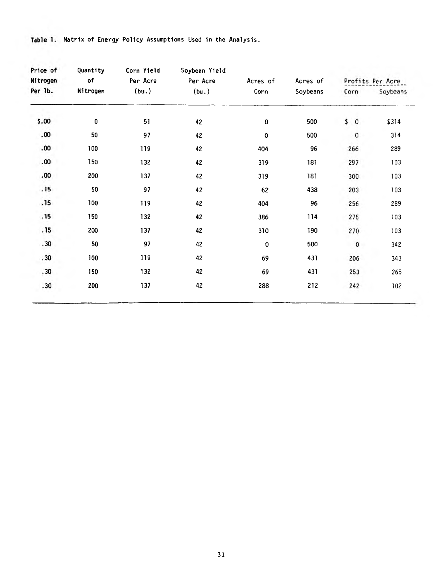| Price of<br>Nitrogen<br>Per 1b. | Quantity<br>of<br>Nitrogen | Corn Yield<br>Per Acre<br>(bu.) | Soybean Yield<br>Per Acre<br>(bu.) | Acres of<br>Corn | Acres of<br>Soybeans |                      |          |
|---------------------------------|----------------------------|---------------------------------|------------------------------------|------------------|----------------------|----------------------|----------|
|                                 |                            |                                 |                                    |                  |                      | Profits Per Acre     |          |
|                                 |                            |                                 |                                    |                  |                      | Corn                 | Soybeans |
| \$.00                           | $\pmb{0}$                  | 51                              | 42                                 | $\pmb{0}$        | 500                  | \$<br>$\overline{0}$ | \$314    |
| .00.                            | 50                         | 97                              | 42                                 | $\mathbf 0$      | 500                  | $\pmb{0}$            | 314      |
| .00                             | 100                        | 119                             | 42                                 | 404              | 96                   | 266                  | 289      |
| .00                             | 150                        | 132                             | 42                                 | 319              | 181                  | 297                  | 103      |
| .00.                            | 200                        | 137                             | 42                                 | 319              | 181                  | 300                  | 103      |
| .15                             | 50                         | 97                              | 42                                 | 62               | 438                  | 203                  | 103      |
| .15                             | 100                        | 119                             | 42                                 | 404              | 96                   | 256                  | 289      |
| .15                             | 150                        | 132                             | 42                                 | 386              | 114                  | 275                  | 103      |
| .15                             | 200                        | 137                             | 42                                 | 310              | 190                  | 270                  | 103      |
| .30                             | 50                         | 97                              | 42                                 | $\bf{0}$         | 500                  | $\mathbf 0$          | 342      |
| .30                             | 100                        | 119                             | 42                                 | 69               | 431                  | 206                  | 343      |
| .30                             | 150                        | 132                             | 42                                 | 69               | 431                  | 253                  | 265      |
| .30                             | 200                        | 137                             | 42                                 | 288              | 212                  | 242                  | 102      |
|                                 |                            |                                 |                                    |                  |                      |                      |          |

Table 1. Matrix of Energy Policy Assumptions Used in the Analysis.